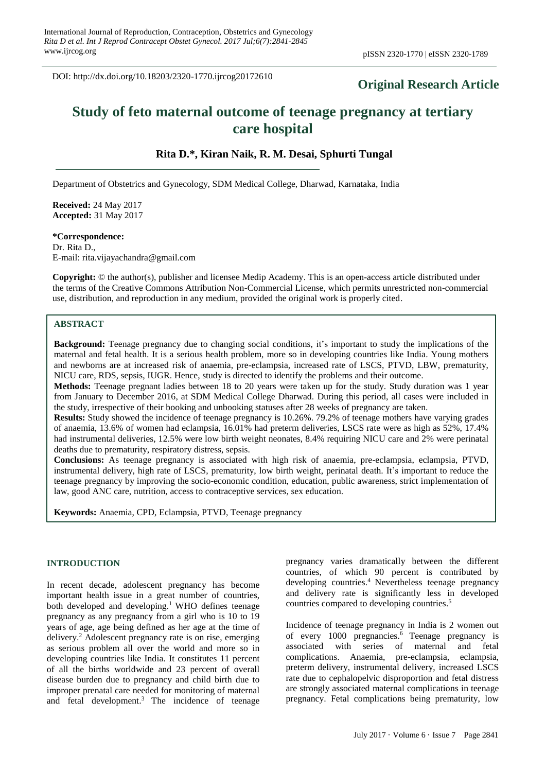DOI: http://dx.doi.org/10.18203/2320-1770.ijrcog20172610

# **Original Research Article**

# **Study of feto maternal outcome of teenage pregnancy at tertiary care hospital**

## **Rita D.\*, Kiran Naik, R. M. Desai, Sphurti Tungal**

Department of Obstetrics and Gynecology, SDM Medical College, Dharwad, Karnataka, India

**Received:** 24 May 2017 **Accepted:** 31 May 2017

#### **\*Correspondence:**

Dr. Rita D., E-mail: rita.vijayachandra@gmail.com

**Copyright:** © the author(s), publisher and licensee Medip Academy. This is an open-access article distributed under the terms of the Creative Commons Attribution Non-Commercial License, which permits unrestricted non-commercial use, distribution, and reproduction in any medium, provided the original work is properly cited.

#### **ABSTRACT**

**Background:** Teenage pregnancy due to changing social conditions, it's important to study the implications of the maternal and fetal health. It is a serious health problem, more so in developing countries like India. Young mothers and newborns are at increased risk of anaemia, pre-eclampsia, increased rate of LSCS, PTVD, LBW, prematurity, NICU care, RDS, sepsis, IUGR. Hence, study is directed to identify the problems and their outcome.

**Methods:** Teenage pregnant ladies between 18 to 20 years were taken up for the study. Study duration was 1 year from January to December 2016, at SDM Medical College Dharwad. During this period, all cases were included in the study, irrespective of their booking and unbooking statuses after 28 weeks of pregnancy are taken.

**Results:** Study showed the incidence of teenage pregnancy is 10.26%. 79.2% of teenage mothers have varying grades of anaemia, 13.6% of women had eclampsia, 16.01% had preterm deliveries, LSCS rate were as high as 52%, 17.4% had instrumental deliveries, 12.5% were low birth weight neonates, 8.4% requiring NICU care and 2% were perinatal deaths due to prematurity, respiratory distress, sepsis.

**Conclusions:** As teenage pregnancy is associated with high risk of anaemia, pre-eclampsia, eclampsia, PTVD, instrumental delivery, high rate of LSCS, prematurity, low birth weight, perinatal death. It's important to reduce the teenage pregnancy by improving the socio-economic condition, education, public awareness, strict implementation of law, good ANC care, nutrition, access to contraceptive services, sex education.

**Keywords:** Anaemia, CPD, Eclampsia, PTVD, Teenage pregnancy

#### **INTRODUCTION**

In recent decade, adolescent pregnancy has become important health issue in a great number of countries, both developed and developing. <sup>1</sup> WHO defines teenage pregnancy as any pregnancy from a girl who is 10 to 19 years of age, age being defined as her age at the time of delivery. <sup>2</sup> Adolescent pregnancy rate is on rise, emerging as serious problem all over the world and more so in developing countries like India. It constitutes 11 percent of all the births worldwide and 23 percent of overall disease burden due to pregnancy and child birth due to improper prenatal care needed for monitoring of maternal and fetal development. <sup>3</sup> The incidence of teenage pregnancy varies dramatically between the different countries, of which 90 percent is contributed by developing countries. <sup>4</sup> Nevertheless teenage pregnancy and delivery rate is significantly less in developed countries compared to developing countries. 5

Incidence of teenage pregnancy in India is 2 women out of every 1000 pregnancies. <sup>6</sup> Teenage pregnancy is associated with series of maternal and fetal complications. Anaemia, pre-eclampsia, eclampsia, preterm delivery, instrumental delivery, increased LSCS rate due to cephalopelvic disproportion and fetal distress are strongly associated maternal complications in teenage pregnancy. Fetal complications being prematurity, low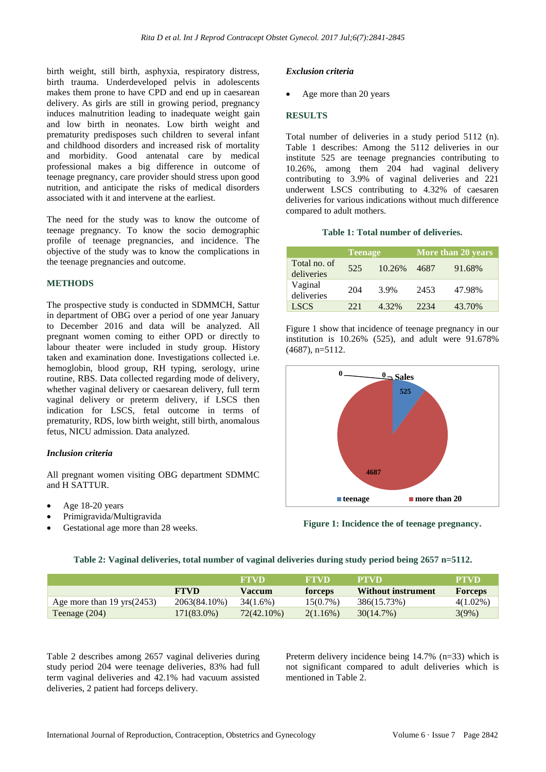birth weight, still birth, asphyxia, respiratory distress, birth trauma. Underdeveloped pelvis in adolescents makes them prone to have CPD and end up in caesarean delivery. As girls are still in growing period, pregnancy induces malnutrition leading to inadequate weight gain and low birth in neonates. Low birth weight and prematurity predisposes such children to several infant and childhood disorders and increased risk of mortality and morbidity. Good antenatal care by medical professional makes a big difference in outcome of teenage pregnancy, care provider should stress upon good nutrition, and anticipate the risks of medical disorders associated with it and intervene at the earliest.

The need for the study was to know the outcome of teenage pregnancy. To know the socio demographic profile of teenage pregnancies, and incidence. The objective of the study was to know the complications in the teenage pregnancies and outcome.

#### **METHODS**

The prospective study is conducted in SDMMCH, Sattur in department of OBG over a period of one year January to December 2016 and data will be analyzed. All pregnant women coming to either OPD or directly to labour theater were included in study group. History taken and examination done. Investigations collected i.e. hemoglobin, blood group, RH typing, serology, urine routine, RBS. Data collected regarding mode of delivery, whether vaginal delivery or caesarean delivery, full term vaginal delivery or preterm delivery, if LSCS then indication for LSCS, fetal outcome in terms of prematurity, RDS, low birth weight, still birth, anomalous fetus, NICU admission. Data analyzed.

#### *Inclusion criteria*

All pregnant women visiting OBG department SDMMC and H SATTUR.

- Age 18-20 years
- Primigravida/Multigravida
- Gestational age more than 28 weeks.

#### *Exclusion criteria*

Age more than 20 years

#### **RESULTS**

Total number of deliveries in a study period 5112 (n). Table 1 describes: Among the 5112 deliveries in our institute 525 are teenage pregnancies contributing to 10.26%, among them 204 had vaginal delivery contributing to 3.9% of vaginal deliveries and 221 underwent LSCS contributing to 4.32% of caesaren deliveries for various indications without much difference compared to adult mothers.

|  |  |  |  | Table 1: Total number of deliveries. |
|--|--|--|--|--------------------------------------|
|--|--|--|--|--------------------------------------|

|                            | <b>Teenage</b> |        | More than 20 years |        |  |
|----------------------------|----------------|--------|--------------------|--------|--|
| Total no. of<br>deliveries | 525            | 10.26% | 4687               | 91.68% |  |
| Vaginal<br>deliveries      | 204            | 3.9%   | 2453               | 47.98% |  |
| <b>LSCS</b>                | 221            | 4.32%  | 2234               | 43.70% |  |

Figure 1 show that incidence of teenage pregnancy in our institution is 10.26% (525), and adult were 91.678% (4687), n=5112.



**Figure 1: Incidence the of teenage pregnancy.**

|                                      |              | <b>FTVD</b> | <b>FTVD</b> | <b>PTVD</b>               | <b>PTVD</b>    |
|--------------------------------------|--------------|-------------|-------------|---------------------------|----------------|
|                                      | <b>FTVD</b>  | Vaccum      | forceps     | <b>Without instrument</b> | <b>Forceps</b> |
| Age more than $19 \text{ yrs}(2453)$ | 2063(84.10%) | 34(1.6%)    | $15(0.7\%)$ | 386(15.73%)               | $4(1.02\%)$    |
| Teenage $(204)$                      | 171(83.0%)   | 72(42.10%)  | $2(1.16\%)$ | 30(14.7%)                 | $3(9\%)$       |

**Table 2: Vaginal deliveries, total number of vaginal deliveries during study period being 2657 n=5112.**

Table 2 describes among 2657 vaginal deliveries during study period 204 were teenage deliveries, 83% had full term vaginal deliveries and 42.1% had vacuum assisted deliveries, 2 patient had forceps delivery.

Preterm delivery incidence being 14.7% (n=33) which is not significant compared to adult deliveries which is mentioned in Table 2.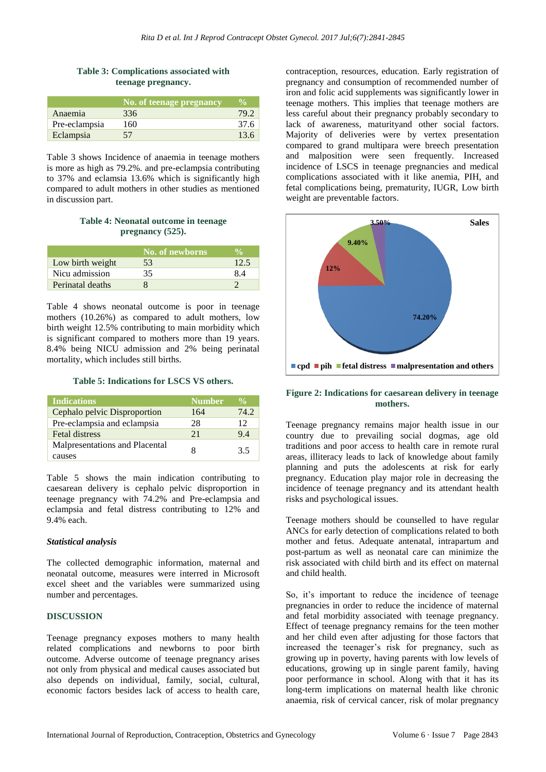#### **Table 3: Complications associated with teenage pregnancy.**

|               | No. of teenage pregnancy | $\mathcal{V}_{\mathbf{a}}$ |
|---------------|--------------------------|----------------------------|
| Anaemia       | 336                      | -79.7                      |
| Pre-eclampsia | 160                      | 37.6                       |
| Eclampsia     | 57                       | 13.6                       |

Table 3 shows Incidence of anaemia in teenage mothers is more as high as 79.2%. and pre-eclampsia contributing to 37% and eclamsia 13.6% which is significantly high compared to adult mothers in other studies as mentioned in discussion part.

#### **Table 4: Neonatal outcome in teenage pregnancy (525).**

|                  | No. of newborns |      |
|------------------|-----------------|------|
| Low birth weight | 53              | 12.5 |
| Nicu admission   | 35.             | 84   |
| Perinatal deaths |                 |      |

Table 4 shows neonatal outcome is poor in teenage mothers (10.26%) as compared to adult mothers, low birth weight 12.5% contributing to main morbidity which is significant compared to mothers more than 19 years. 8.4% being NICU admission and 2% being perinatal mortality, which includes still births.

#### **Table 5: Indications for LSCS VS others.**

| <b>Indications</b>                       | <b>Number</b> | $\frac{0}{\alpha}$ |
|------------------------------------------|---------------|--------------------|
| Cephalo pelvic Disproportion             | 164           | 74.2               |
| Pre-eclampsia and eclampsia              | 28            | 12                 |
| <b>Fetal distress</b>                    | 21            | 9.4                |
| Malpresentations and Placental<br>causes |               | 3.5                |

Table 5 shows the main indication contributing to caesarean delivery is cephalo pelvic disproportion in teenage pregnancy with 74.2% and Pre-eclampsia and eclampsia and fetal distress contributing to 12% and 9.4% each.

#### *Statistical analysis*

The collected demographic information, maternal and neonatal outcome, measures were interred in Microsoft excel sheet and the variables were summarized using number and percentages.

## **DISCUSSION**

Teenage pregnancy exposes mothers to many health related complications and newborns to poor birth outcome. Adverse outcome of teenage pregnancy arises not only from physical and medical causes associated but also depends on individual, family, social, cultural, economic factors besides lack of access to health care, contraception, resources, education. Early registration of pregnancy and consumption of recommended number of iron and folic acid supplements was significantly lower in teenage mothers. This implies that teenage mothers are less careful about their pregnancy probably secondary to lack of awareness, maturityand other social factors. Majority of deliveries were by vertex presentation compared to grand multipara were breech presentation and malposition were seen frequently. Increased incidence of LSCS in teenage pregnancies and medical complications associated with it like anemia, PIH, and fetal complications being, prematurity, IUGR, Low birth weight are preventable factors.



#### **Figure 2: Indications for caesarean delivery in teenage mothers.**

Teenage pregnancy remains major health issue in our country due to prevailing social dogmas, age old traditions and poor access to health care in remote rural areas, illiteracy leads to lack of knowledge about family planning and puts the adolescents at risk for early pregnancy. Education play major role in decreasing the incidence of teenage pregnancy and its attendant health risks and psychological issues.

Teenage mothers should be counselled to have regular ANCs for early detection of complications related to both mother and fetus. Adequate antenatal, intrapartum and post-partum as well as neonatal care can minimize the risk associated with child birth and its effect on maternal and child health.

So, it's important to reduce the incidence of teenage pregnancies in order to reduce the incidence of maternal and fetal morbidity associated with teenage pregnancy. Effect of teenage pregnancy remains for the teen mother and her child even after adjusting for those factors that increased the teenager's risk for pregnancy, such as growing up in poverty, having parents with low levels of educations, growing up in single parent family, having poor performance in school. Along with that it has its long-term implications on maternal health like chronic anaemia, risk of cervical cancer, risk of molar pregnancy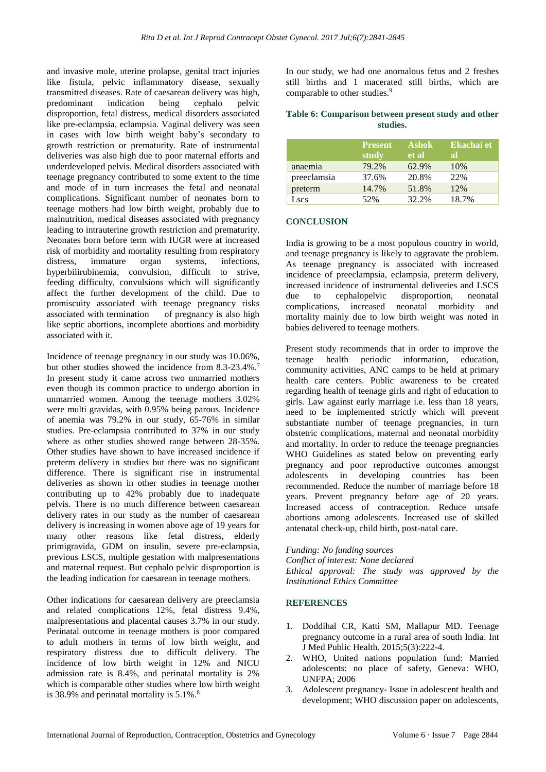and invasive mole, uterine prolapse, genital tract injuries like fistula, pelvic inflammatory disease, sexually transmitted diseases. Rate of caesarean delivery was high, predominant indication being cephalo pelvic disproportion, fetal distress, medical disorders associated like pre-eclampsia, eclampsia. Vaginal delivery was seen in cases with low birth weight baby's secondary to growth restriction or prematurity. Rate of instrumental deliveries was also high due to poor maternal efforts and underdeveloped pelvis. Medical disorders associated with teenage pregnancy contributed to some extent to the time and mode of in turn increases the fetal and neonatal complications. Significant number of neonates born to teenage mothers had low birth weight, probably due to malnutrition, medical diseases associated with pregnancy leading to intrauterine growth restriction and prematurity. Neonates born before term with IUGR were at increased risk of morbidity and mortality resulting from respiratory distress, immature organ systems, infections, hyperbilirubinemia, convulsion, difficult to strive, feeding difficulty, convulsions which will significantly affect the further development of the child. Due to promiscuity associated with teenage pregnancy risks associated with termination of pregnancy is also high like septic abortions, incomplete abortions and morbidity associated with it.

Incidence of teenage pregnancy in our study was 10.06%, but other studies showed the incidence from 8.3-23.4%.<sup>7</sup> In present study it came across two unmarried mothers even though its common practice to undergo abortion in unmarried women. Among the teenage mothers 3.02% were multi gravidas, with 0.95% being parous. Incidence of anemia was 79.2% in our study, 65-76% in similar studies. Pre-eclampsia contributed to 37% in our study where as other studies showed range between 28-35%. Other studies have shown to have increased incidence if preterm delivery in studies but there was no significant difference. There is significant rise in instrumental deliveries as shown in other studies in teenage mother contributing up to 42% probably due to inadequate pelvis. There is no much difference between caesarean delivery rates in our study as the number of caesarean delivery is increasing in women above age of 19 years for many other reasons like fetal distress, elderly primigravida, GDM on insulin, severe pre-eclampsia, previous LSCS, multiple gestation with malpresentations and maternal request. But cephalo pelvic disproportion is the leading indication for caesarean in teenage mothers.

Other indications for caesarean delivery are preeclamsia and related complications 12%, fetal distress 9.4%, malpresentations and placental causes 3.7% in our study. Perinatal outcome in teenage mothers is poor compared to adult mothers in terms of low birth weight, and respiratory distress due to difficult delivery. The incidence of low birth weight in 12% and NICU admission rate is 8.4%, and perinatal mortality is 2% which is comparable other studies where low birth weight is 38.9% and perinatal mortality is  $5.1\%$ .<sup>8</sup>

In our study, we had one anomalous fetus and 2 freshes still births and 1 macerated still births, which are comparable to other studies.<sup>9</sup>

| Table 6: Comparison between present study and other |          |  |  |
|-----------------------------------------------------|----------|--|--|
|                                                     | studies. |  |  |

|             | <b>Present</b><br>study | <b>Ashok</b><br>et al | <b>Ekachai et</b><br>яl |
|-------------|-------------------------|-----------------------|-------------------------|
| anaemia     | 79.2%                   | 62.9%                 | 10%                     |
| preeclamsia | 37.6%                   | 20.8%                 | 22%                     |
| preterm     | 14.7%                   | 51.8%                 | 12%                     |
| Lscs        | 52%                     | 32.2%                 | 18.7%                   |

#### **CONCLUSION**

India is growing to be a most populous country in world, and teenage pregnancy is likely to aggravate the problem. As teenage pregnancy is associated with increased incidence of preeclampsia, eclampsia, preterm delivery, increased incidence of instrumental deliveries and LSCS due to cephalopelvic disproportion, neonatal complications, increased neonatal morbidity and mortality mainly due to low birth weight was noted in babies delivered to teenage mothers.

Present study recommends that in order to improve the teenage health periodic information, education, community activities, ANC camps to be held at primary health care centers. Public awareness to be created regarding health of teenage girls and right of education to girls. Law against early marriage i.e. less than 18 years, need to be implemented strictly which will prevent substantiate number of teenage pregnancies, in turn obstetric complications, maternal and neonatal morbidity and mortality. In order to reduce the teenage pregnancies WHO Guidelines as stated below on preventing early pregnancy and poor reproductive outcomes amongst adolescents in developing countries has been recommended. Reduce the number of marriage before 18 years. Prevent pregnancy before age of 20 years. Increased access of contraception. Reduce unsafe abortions among adolescents. Increased use of skilled antenatal check-up, child birth, post-natal care.

*Funding: No funding sources Conflict of interest: None declared Ethical approval: The study was approved by the Institutional Ethics Committee*

#### **REFERENCES**

- 1. Doddihal CR, Katti SM, Mallapur MD. Teenage pregnancy outcome in a rural area of south India. Int J Med Public Health. 2015;5(3):222-4.
- 2. WHO, United nations population fund: Married adolescents: no place of safety, Geneva: WHO, UNFPA; 2006
- 3. Adolescent pregnancy- Issue in adolescent health and development; WHO discussion paper on adolescents,